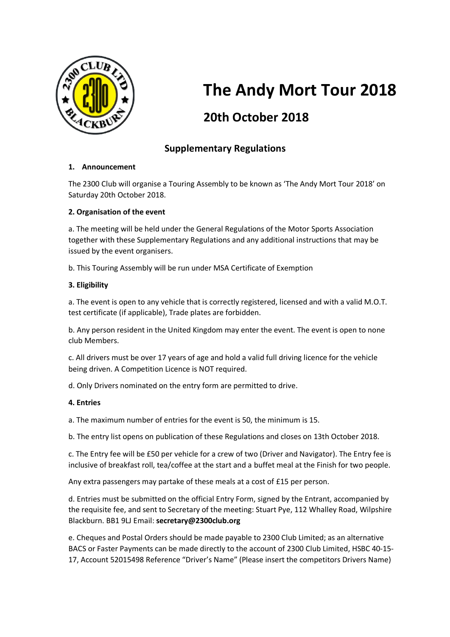

# **The Andy Mort Tour 2018**

## **20th October 2018**

### **Supplementary Regulations**

#### **1. Announcement**

The 2300 Club will organise a Touring Assembly to be known as 'The Andy Mort Tour 2018' on Saturday 20th October 2018.

#### **2. Organisation of the event**

a. The meeting will be held under the General Regulations of the Motor Sports Association together with these Supplementary Regulations and any additional instructions that may be issued by the event organisers.

b. This Touring Assembly will be run under MSA Certificate of Exemption

#### **3. Eligibility**

a. The event is open to any vehicle that is correctly registered, licensed and with a valid M.O.T. test certificate (if applicable), Trade plates are forbidden.

b. Any person resident in the United Kingdom may enter the event. The event is open to none club Members.

c. All drivers must be over 17 years of age and hold a valid full driving licence for the vehicle being driven. A Competition Licence is NOT required.

d. Only Drivers nominated on the entry form are permitted to drive.

#### **4. Entries**

a. The maximum number of entries for the event is 50, the minimum is 15.

b. The entry list opens on publication of these Regulations and closes on 13th October 2018.

c. The Entry fee will be £50 per vehicle for a crew of two (Driver and Navigator). The Entry fee is inclusive of breakfast roll, tea/coffee at the start and a buffet meal at the Finish for two people.

Any extra passengers may partake of these meals at a cost of £15 per person.

d. Entries must be submitted on the official Entry Form, signed by the Entrant, accompanied by the requisite fee, and sent to Secretary of the meeting: Stuart Pye, 112 Whalley Road, Wilpshire Blackburn. BB1 9LJ Email: **secretary@2300club.org**

e. Cheques and Postal Orders should be made payable to 2300 Club Limited; as an alternative BACS or Faster Payments can be made directly to the account of 2300 Club Limited, HSBC 40-15- 17, Account 52015498 Reference "Driver's Name" (Please insert the competitors Drivers Name)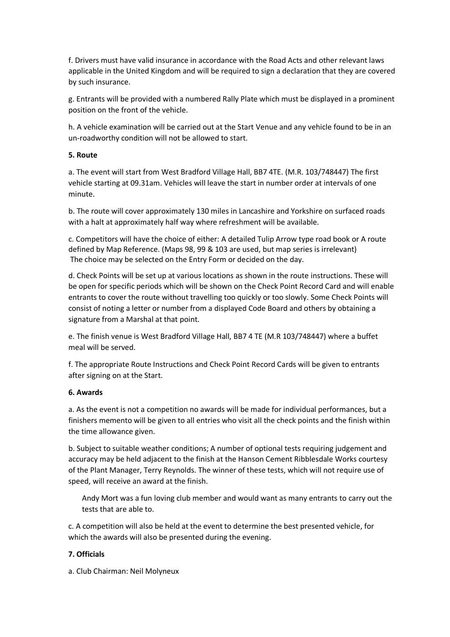f. Drivers must have valid insurance in accordance with the Road Acts and other relevant laws applicable in the United Kingdom and will be required to sign a declaration that they are covered by such insurance.

g. Entrants will be provided with a numbered Rally Plate which must be displayed in a prominent position on the front of the vehicle.

h. A vehicle examination will be carried out at the Start Venue and any vehicle found to be in an un-roadworthy condition will not be allowed to start.

#### **5. Route**

a. The event will start from West Bradford Village Hall, BB7 4TE. (M.R. 103/748447) The first vehicle starting at 09.31am. Vehicles will leave the start in number order at intervals of one minute.

b. The route will cover approximately 130 miles in Lancashire and Yorkshire on surfaced roads with a halt at approximately half way where refreshment will be available.

c. Competitors will have the choice of either: A detailed Tulip Arrow type road book or A route defined by Map Reference. (Maps 98, 99 & 103 are used, but map series is irrelevant) The choice may be selected on the Entry Form or decided on the day.

d. Check Points will be set up at various locations as shown in the route instructions. These will be open for specific periods which will be shown on the Check Point Record Card and will enable entrants to cover the route without travelling too quickly or too slowly. Some Check Points will consist of noting a letter or number from a displayed Code Board and others by obtaining a signature from a Marshal at that point.

e. The finish venue is West Bradford Village Hall, BB7 4 TE (M.R 103/748447) where a buffet meal will be served.

f. The appropriate Route Instructions and Check Point Record Cards will be given to entrants after signing on at the Start.

#### **6. Awards**

a. As the event is not a competition no awards will be made for individual performances, but a finishers memento will be given to all entries who visit all the check points and the finish within the time allowance given.

b. Subject to suitable weather conditions; A number of optional tests requiring judgement and accuracy may be held adjacent to the finish at the Hanson Cement Ribblesdale Works courtesy of the Plant Manager, Terry Reynolds. The winner of these tests, which will not require use of speed, will receive an award at the finish.

Andy Mort was a fun loving club member and would want as many entrants to carry out the tests that are able to.

c. A competition will also be held at the event to determine the best presented vehicle, for which the awards will also be presented during the evening.

#### **7. Officials**

a. Club Chairman: Neil Molyneux